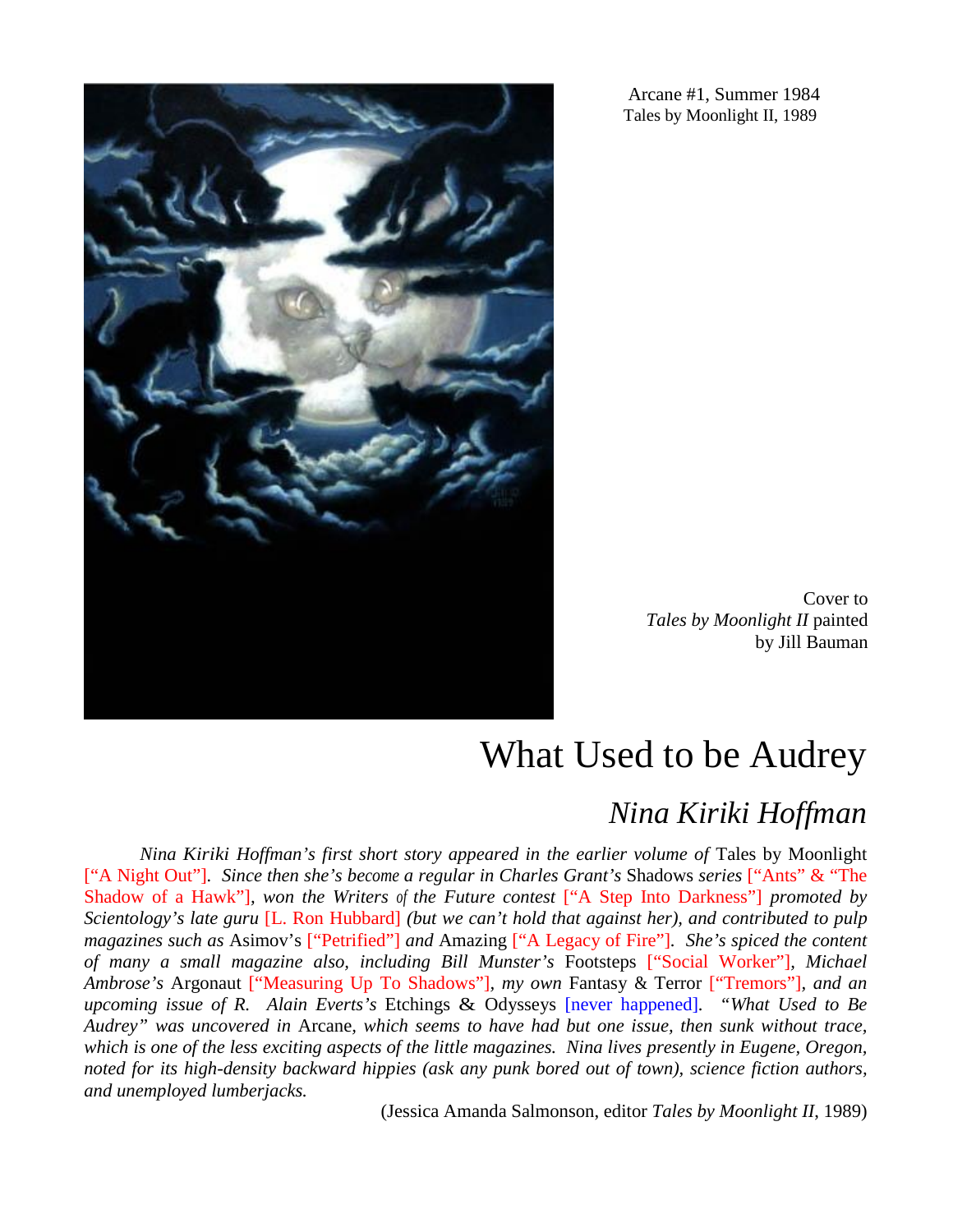Arcane #1, Summer 1984 Tales by Moonlight II, 1989



Cover to *Tales by Moonlight II* painted by Jill Bauman

## What Used to be Audrey

## *Nina Kiriki Hoffman*

*Nina Kiriki Hoffman's first short story appeared in the earlier volume of* Tales by Moonlight ["A Night Out"]*. Since then she's become a regular in Charles Grant's* Shadows *series* ["Ants" & "The Shadow of a Hawk"]*, won the Writers of the Future contest* ["A Step Into Darkness"] *promoted by Scientology's late guru* [L. Ron Hubbard] *(but we can't hold that against her), and contributed to pulp magazines such as* Asimov's ["Petrified"] *and* Amazing ["A Legacy of Fire"]*. She's spiced the content of many a small magazine also, including Bill Munster's* Footsteps ["Social Worker"]*, Michael Ambrose's* Argonaut ["Measuring Up To Shadows"]*, my own* Fantasy & Terror ["Tremors"]*, and an upcoming issue of R. Alain Everts's* Etchings & Odysseys [never happened]*. "What Used to Be Audrey" was uncovered in* Arcane*, which seems to have had but one issue, then sunk without trace, which is one of the less exciting aspects of the little magazines. Nina lives presently in Eugene, Oregon, noted for its high-density backward hippies (ask any punk bored out of town), science fiction authors, and unemployed lumberjacks.* 

(Jessica Amanda Salmonson, editor *Tales by Moonlight II*, 1989)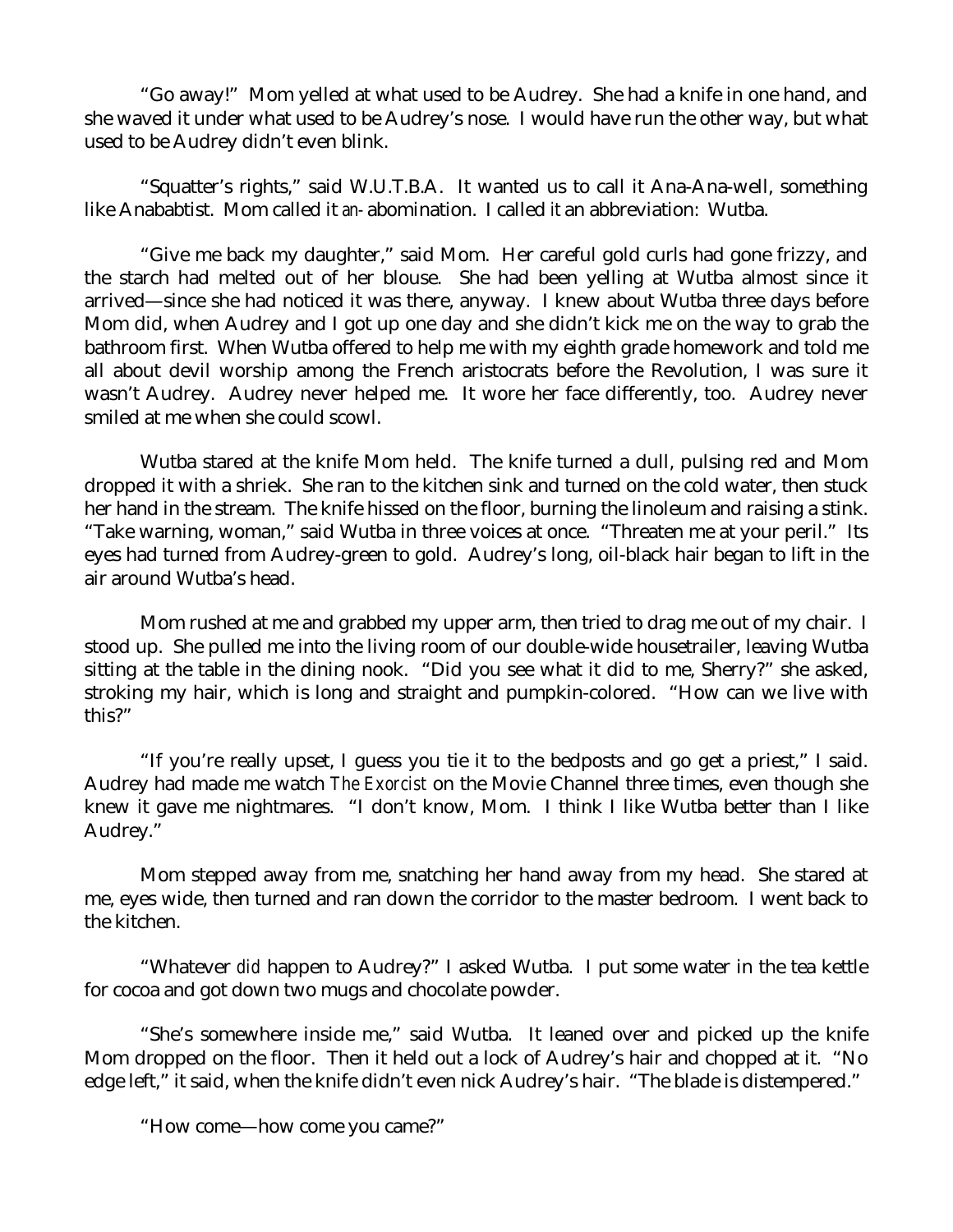"Go away!" Mom yelled at what used to be Audrey. She had a knife in one hand, and she waved it under what used to be Audrey's nose. I would have run the other way, but what used to be Audrey didn't even blink.

"Squatter's rights," said W.U.T.B.A. It wanted us to call it Ana-Ana-well, something like Anababtist. Mom called it an- abomination. I called it an abbreviation: Wutba.

"Give me back my daughter," said Mom. Her careful gold curls had gone frizzy, and the starch had melted out of her blouse. She had been yelling at Wutba almost since it arrived—since she had noticed it was there, anyway. I knew about Wutba three days before Mom did, when Audrey and I got up one day and she didn't kick me on the way to grab the bathroom first. When Wutba offered to help me with my eighth grade homework and told me all about devil worship among the French aristocrats before the Revolution, I was sure it wasn't Audrey. Audrey never helped me. It wore her face differently, too. Audrey never smiled at me when she could scowl.

Wutba stared at the knife Mom held. The knife turned a dull, pulsing red and Mom dropped it with a shriek. She ran to the kitchen sink and turned on the cold water, then stuck her hand in the stream. The knife hissed on the floor, burning the linoleum and raising a stink. "Take warning, woman," said Wutba in three voices at once. "Threaten me at your peril." Its eyes had turned from Audrey-green to gold. Audrey's long, oil-black hair began to lift in the air around Wutba's head.

Mom rushed at me and grabbed my upper arm, then tried to drag me out of my chair. I stood up. She pulled me into the living room of our double-wide housetrailer, leaving Wutba sitting at the table in the dining nook. "Did you see what it did to me, Sherry?" she asked, stroking my hair, which is long and straight and pumpkin-colored. "How can we live with this?"

"If you're really upset, I guess you tie it to the bedposts and go get a priest," I said. Audrey had made me watch *The Exorcist* on the Movie Channel three times, even though she knew it gave me nightmares. "I don't know, Mom. I think I like Wutba better than I like Audrey."

Mom stepped away from me, snatching her hand away from my head. She stared at me, eyes wide, then turned and ran down the corridor to the master bedroom. I went back to the kitchen.

"Whatever *did* happen to Audrey?" I asked Wutba. I put some water in the tea kettle for cocoa and got down two mugs and chocolate powder.

"She's somewhere inside me," said Wutba. It leaned over and picked up the knife Mom dropped on the floor. Then it held out a lock of Audrey's hair and chopped at it. "No edge left," it said, when the knife didn't even nick Audrey's hair. "The blade is distempered."

"How come—how come you came?"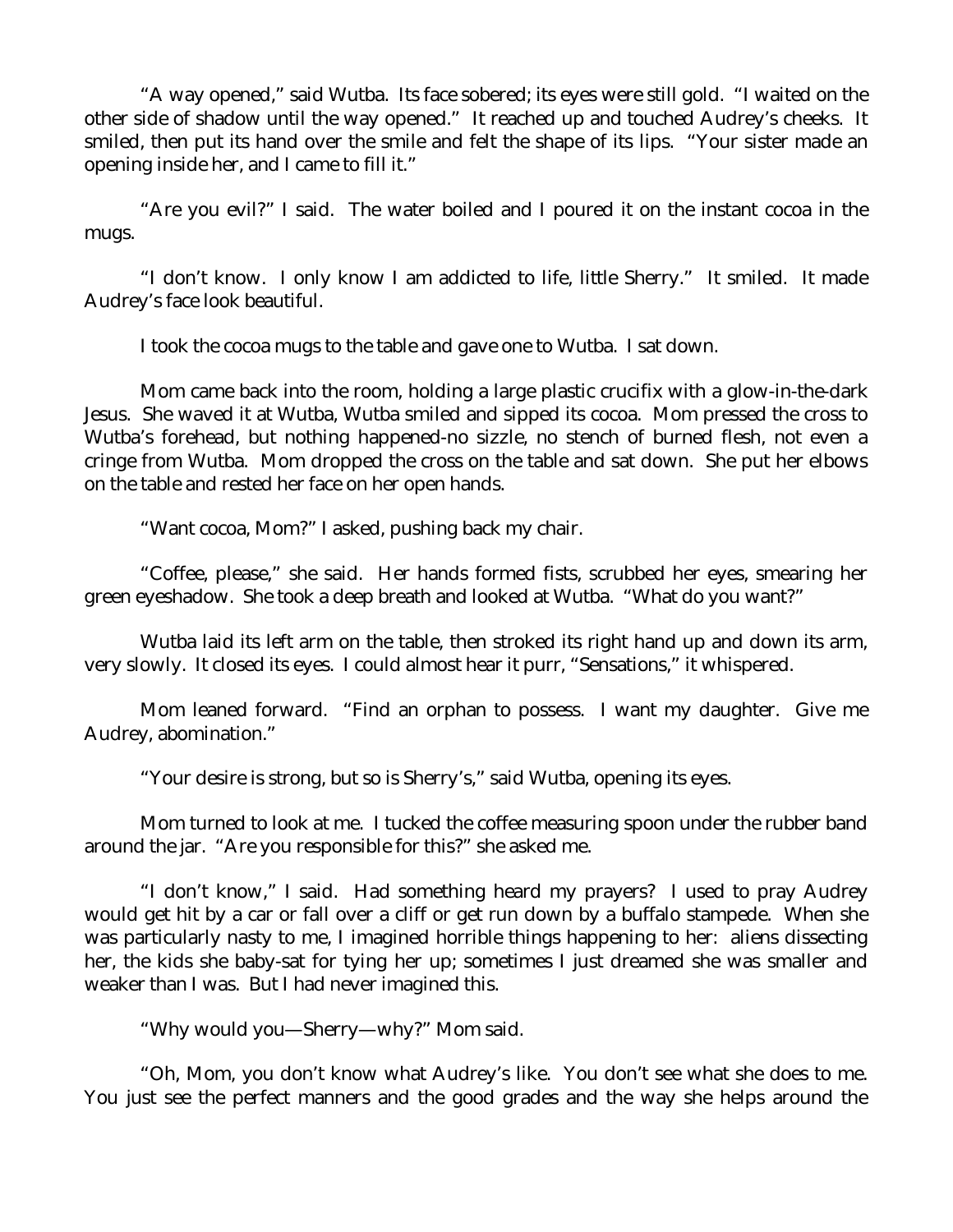"A way opened," said Wutba. Its face sobered; its eyes were still gold. "I waited on the other side of shadow until the way opened." It reached up and touched Audrey's cheeks. It smiled, then put its hand over the smile and felt the shape of its lips. "Your sister made an opening inside her, and I came to fill it."

"Are you evil?" I said. The water boiled and I poured it on the instant cocoa in the mugs.

"I don't know. I only know I am addicted to life, little Sherry." It smiled. It made Audrey's face look beautiful.

I took the cocoa mugs to the table and gave one to Wutba. I sat down.

Mom came back into the room, holding a large plastic crucifix with a glow-in-the-dark Jesus. She waved it at Wutba, Wutba smiled and sipped its cocoa. Mom pressed the cross to Wutba's forehead, but nothing happened-no sizzle, no stench of burned flesh, not even a cringe from Wutba. Mom dropped the cross on the table and sat down. She put her elbows on the table and rested her face on her open hands.

"Want cocoa, Mom?" I asked, pushing back my chair.

"Coffee, please," she said. Her hands formed fists, scrubbed her eyes, smearing her green eyeshadow. She took a deep breath and looked at Wutba. "What do you want?"

Wutba laid its left arm on the table, then stroked its right hand up and down its arm, very slowly. It closed its eyes. I could almost hear it purr, "Sensations," it whispered.

Mom leaned forward. "Find an orphan to possess. I want my daughter. Give me Audrey, abomination."

"Your desire is strong, but so is Sherry's," said Wutba, opening its eyes.

Mom turned to look at me. I tucked the coffee measuring spoon under the rubber band around the jar. "Are you responsible for this?" she asked me.

"I don't know," I said. Had something heard my prayers? I used to pray Audrey would get hit by a car or fall over a cliff or get run down by a buffalo stampede. When she was particularly nasty to me, I imagined horrible things happening to her: aliens dissecting her, the kids she baby-sat for tying her up; sometimes I just dreamed she was smaller and weaker than I was. But I had never imagined this.

"Why would you—Sherry—why?" Mom said.

"Oh, Mom, you don't know what Audrey's like. You don't see what she does to me. You just see the perfect manners and the good grades and the way she helps around the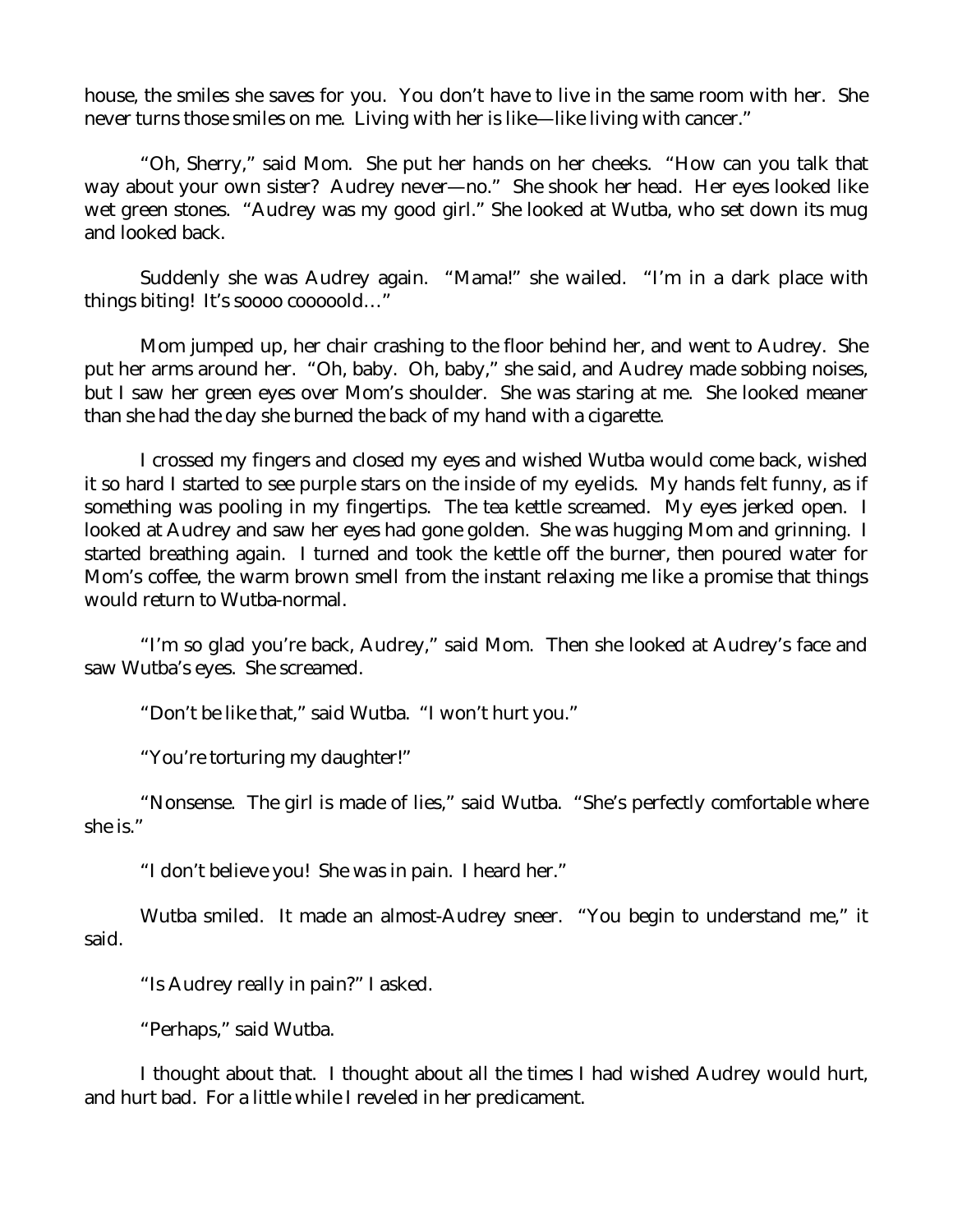house, the smiles she saves for you. You don't have to live in the same room with her. She never turns those smiles on me. Living with her is like—like living with cancer."

"Oh, Sherry," said Mom. She put her hands on her cheeks. "How can you talk that way about your own sister? Audrey never—no." She shook her head. Her eyes looked like wet green stones. "Audrey was my good girl." She looked at Wutba, who set down its mug and looked back.

Suddenly she was Audrey again. "Mama!" she wailed. "I'm in a dark place with things biting! It's soooo cooooold…"

Mom jumped up, her chair crashing to the floor behind her, and went to Audrey. She put her arms around her. "Oh, baby. Oh, baby," she said, and Audrey made sobbing noises, but I saw her green eyes over Mom's shoulder. She was staring at me. She looked meaner than she had the day she burned the back of my hand with a cigarette.

I crossed my fingers and closed my eyes and wished Wutba would come back, wished it so hard I started to see purple stars on the inside of my eyelids. My hands felt funny, as if something was pooling in my fingertips. The tea kettle screamed. My eyes jerked open. I looked at Audrey and saw her eyes had gone golden. She was hugging Mom and grinning. I started breathing again. I turned and took the kettle off the burner, then poured water for Mom's coffee, the warm brown smell from the instant relaxing me like a promise that things would return to Wutba-normal.

"I'm so glad you're back, Audrey," said Mom. Then she looked at Audrey's face and saw Wutba's eyes. She screamed.

"Don't be like that," said Wutba. "I won't hurt you."

"You're torturing my daughter!"

"Nonsense. The girl is made of lies," said Wutba. "She's perfectly comfortable where she is."

"I don't believe you! She was in pain. I heard her."

Wutba smiled. It made an almost-Audrey sneer. "You begin to understand me," it said.

"Is Audrey really in pain?" I asked.

"Perhaps," said Wutba.

I thought about that. I thought about all the times I had wished Audrey would hurt, and hurt bad. For a little while I reveled in her predicament.